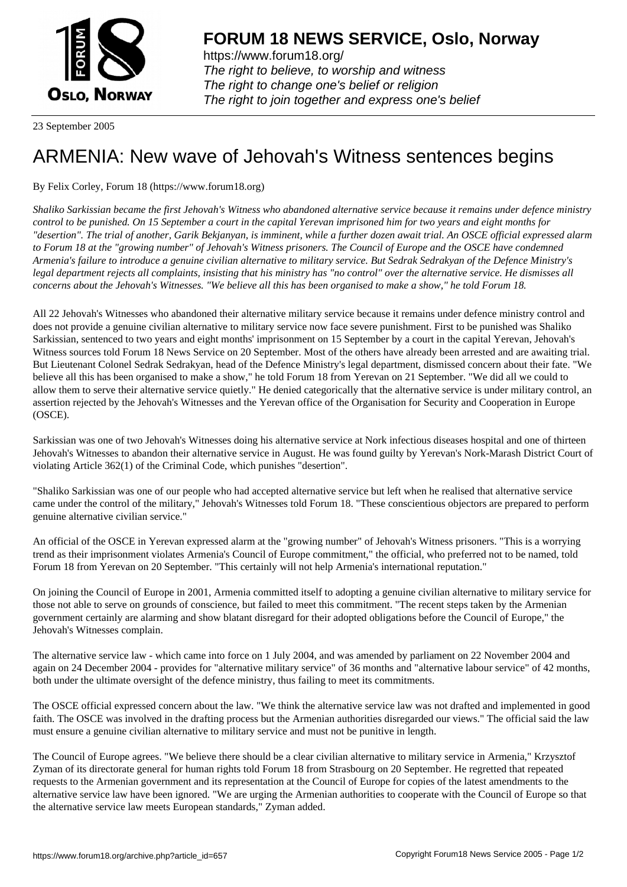

https://www.forum18.org/ The right to believe, to worship and witness The right to change one's belief or religion [The right to join together a](https://www.forum18.org/)nd express one's belief

23 September 2005

## [ARMENIA: New](https://www.forum18.org) wave of Jehovah's Witness sentences begins

By Felix Corley, Forum 18 (https://www.forum18.org)

*Shaliko Sarkissian became the first Jehovah's Witness who abandoned alternative service because it remains under defence ministry control to be punished. On 15 September a court in the capital Yerevan imprisoned him for two years and eight months for "desertion". The trial of another, Garik Bekjanyan, is imminent, while a further dozen await trial. An OSCE official expressed alarm to Forum 18 at the "growing number" of Jehovah's Witness prisoners. The Council of Europe and the OSCE have condemned Armenia's failure to introduce a genuine civilian alternative to military service. But Sedrak Sedrakyan of the Defence Ministry's legal department rejects all complaints, insisting that his ministry has "no control" over the alternative service. He dismisses all concerns about the Jehovah's Witnesses. "We believe all this has been organised to make a show," he told Forum 18.*

All 22 Jehovah's Witnesses who abandoned their alternative military service because it remains under defence ministry control and does not provide a genuine civilian alternative to military service now face severe punishment. First to be punished was Shaliko Sarkissian, sentenced to two years and eight months' imprisonment on 15 September by a court in the capital Yerevan, Jehovah's Witness sources told Forum 18 News Service on 20 September. Most of the others have already been arrested and are awaiting trial. But Lieutenant Colonel Sedrak Sedrakyan, head of the Defence Ministry's legal department, dismissed concern about their fate. "We believe all this has been organised to make a show," he told Forum 18 from Yerevan on 21 September. "We did all we could to allow them to serve their alternative service quietly." He denied categorically that the alternative service is under military control, an assertion rejected by the Jehovah's Witnesses and the Yerevan office of the Organisation for Security and Cooperation in Europe (OSCE).

Sarkissian was one of two Jehovah's Witnesses doing his alternative service at Nork infectious diseases hospital and one of thirteen Jehovah's Witnesses to abandon their alternative service in August. He was found guilty by Yerevan's Nork-Marash District Court of violating Article 362(1) of the Criminal Code, which punishes "desertion".

"Shaliko Sarkissian was one of our people who had accepted alternative service but left when he realised that alternative service came under the control of the military," Jehovah's Witnesses told Forum 18. "These conscientious objectors are prepared to perform genuine alternative civilian service."

An official of the OSCE in Yerevan expressed alarm at the "growing number" of Jehovah's Witness prisoners. "This is a worrying trend as their imprisonment violates Armenia's Council of Europe commitment," the official, who preferred not to be named, told Forum 18 from Yerevan on 20 September. "This certainly will not help Armenia's international reputation."

On joining the Council of Europe in 2001, Armenia committed itself to adopting a genuine civilian alternative to military service for those not able to serve on grounds of conscience, but failed to meet this commitment. "The recent steps taken by the Armenian government certainly are alarming and show blatant disregard for their adopted obligations before the Council of Europe," the Jehovah's Witnesses complain.

The alternative service law - which came into force on 1 July 2004, and was amended by parliament on 22 November 2004 and again on 24 December 2004 - provides for "alternative military service" of 36 months and "alternative labour service" of 42 months, both under the ultimate oversight of the defence ministry, thus failing to meet its commitments.

The OSCE official expressed concern about the law. "We think the alternative service law was not drafted and implemented in good faith. The OSCE was involved in the drafting process but the Armenian authorities disregarded our views." The official said the law must ensure a genuine civilian alternative to military service and must not be punitive in length.

The Council of Europe agrees. "We believe there should be a clear civilian alternative to military service in Armenia," Krzysztof Zyman of its directorate general for human rights told Forum 18 from Strasbourg on 20 September. He regretted that repeated requests to the Armenian government and its representation at the Council of Europe for copies of the latest amendments to the alternative service law have been ignored. "We are urging the Armenian authorities to cooperate with the Council of Europe so that the alternative service law meets European standards," Zyman added.